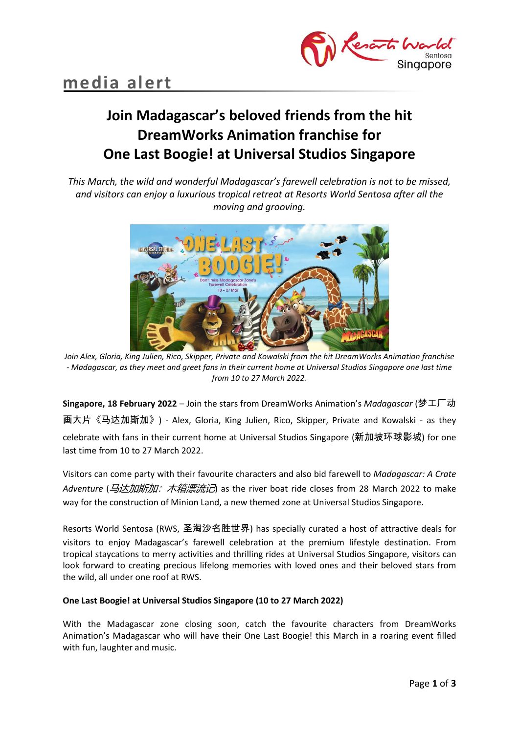

# **Join Madagascar's beloved friends from the hit DreamWorks Animation franchise for One Last Boogie! at Universal Studios Singapore**

*This March, the wild and wonderful Madagascar's farewell celebration is not to be missed, and visitors can enjoy a luxurious tropical retreat at Resorts World Sentosa after all the moving and grooving.*



*Join Alex, Gloria, King Julien, Rico, Skipper, Private and Kowalski from the hit DreamWorks Animation franchise - Madagascar, as they meet and greet fans in their current home at Universal Studios Singapore one last time from 10 to 27 March 2022.*

**Singapore, 18 February 2022** – Join the stars from DreamWorks Animation's *Madagascar* (梦工厂动 画大片《马达加斯加》) - Alex, Gloria, King Julien, Rico, Skipper, Private and Kowalski - as they celebrate with fans in their current home at Universal Studios Singapore (新加坡环球影城) for one last time from 10 to 27 March 2022.

Visitors can come party with their favourite characters and also bid farewell to *Madagascar: A Crate Adventure* (马达加斯加:木箱漂流记) as the river boat ride closes from 28 March 2022 to make way for the construction of Minion Land, a new themed zone at Universal Studios Singapore.

Resorts World Sentosa (RWS, 圣淘沙名胜世界) has specially curated a host of attractive deals for visitors to enjoy Madagascar's farewell celebration at the premium lifestyle destination. From tropical staycations to merry activities and thrilling rides at Universal Studios Singapore, visitors can look forward to creating precious lifelong memories with loved ones and their beloved stars from the wild, all under one roof at RWS.

## **One Last Boogie! at Universal Studios Singapore (10 to 27 March 2022)**

With the Madagascar zone closing soon, catch the favourite characters from DreamWorks Animation's Madagascar who will have their One Last Boogie! this March in a roaring event filled with fun, laughter and music.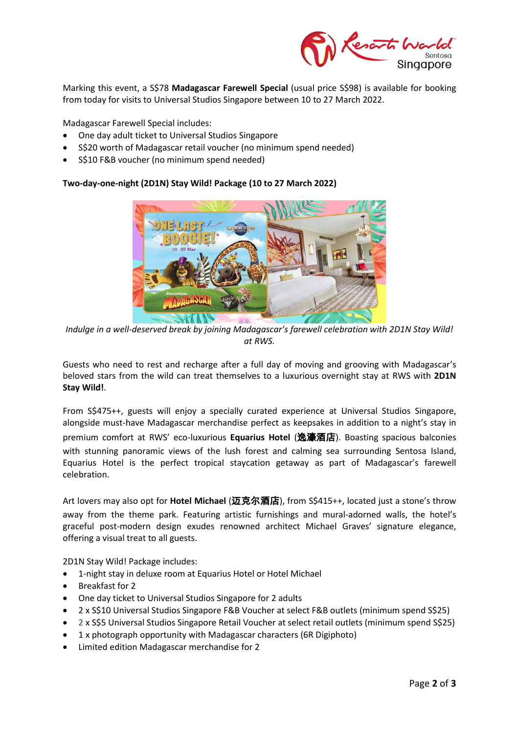

Marking this event, a S\$78 **Madagascar Farewell Special** (usual price S\$98) is available for booking from today for visits to Universal Studios Singapore between 10 to 27 March 2022.

Madagascar Farewell Special includes:

- One day adult ticket to Universal Studios Singapore
- S\$20 worth of Madagascar retail voucher (no minimum spend needed)
- S\$10 F&B voucher (no minimum spend needed)

## **Two-day-one-night (2D1N) Stay Wild! Package (10 to 27 March 2022)**



*Indulge in a well-deserved break by joining Madagascar's farewell celebration with 2D1N Stay Wild! at RWS.*

Guests who need to rest and recharge after a full day of moving and grooving with Madagascar's beloved stars from the wild can treat themselves to a luxurious overnight stay at RWS with **2D1N Stay Wild!**.

From S\$475++, guests will enjoy a specially curated experience at Universal Studios Singapore, alongside must-have Madagascar merchandise perfect as keepsakes in addition to a night's stay in premium comfort at RWS' eco-luxurious **Equarius Hotel** (逸濠酒店). Boasting spacious balconies with stunning panoramic views of the lush forest and calming sea surrounding Sentosa Island, Equarius Hotel is the perfect tropical staycation getaway as part of Madagascar's farewell celebration.

Art lovers may also opt for **Hotel Michael** (迈克尔酒店), from S\$415++, located just a stone's throw away from the theme park. Featuring artistic furnishings and mural-adorned walls, the hotel's graceful post-modern design exudes renowned architect Michael Graves' signature elegance, offering a visual treat to all guests.

2D1N Stay Wild! Package includes:

- 1-night stay in deluxe room at Equarius Hotel or Hotel Michael
- Breakfast for 2
- One day ticket to Universal Studios Singapore for 2 adults
- 2 x S\$10 Universal Studios Singapore F&B Voucher at select F&B outlets (minimum spend S\$25)
- 2 x S\$5 Universal Studios Singapore Retail Voucher at select retail outlets (minimum spend S\$25)
- 1 x photograph opportunity with Madagascar characters (6R Digiphoto)
- Limited edition Madagascar merchandise for 2